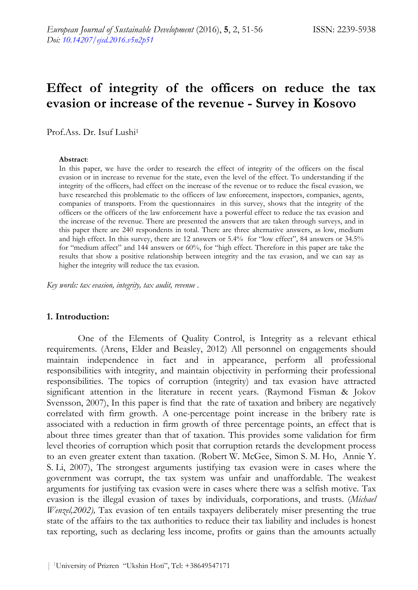# **Effect of integrity of the officers on reduce the tax evasion or increase of the revenue - Survey in Kosovo**

Prof.Ass. Dr. Isuf Lushi1

#### **Abstract**:

In this paper, we have the order to research the effect of integrity of the officers on the fiscal evasion or in increase to revenue for the state, even the level of the effect. To understanding if the integrity of the officers, had effect on the increase of the revenue or to reduce the fiscal evasion, we have researched this problematic to the officers of law enforcement, inspectors, companies, agents, companies of transports. From the questionnaires in this survey, shows that the integrity of the officers or the officers of the law enforcement have a powerful effect to reduce the tax evasion and the increase of the revenue. There are presented the answers that are taken through surveys, and in this paper there are 240 respondents in total. There are three alternative answers, as low, medium and high effect. In this survey, there are 12 answers or 5.4% for "low effect", 84 answers or 34.5% for "medium affect" and 144 answers or 60%, for "high effect. Therefore in this paper are take the results that show a positive relationship between integrity and the tax evasion, and we can say as higher the integrity will reduce the tax evasion.

*Key words: tax evasion, integrity, tax audit, revenue .* 

#### **1. Introduction:**

One of the Elements of Quality Control, is Integrity as a relevant ethical requirements. (Arens, Elder and Beasley, 2012) All personnel on engagements should maintain independence in fact and in appearance, perform all professional responsibilities with integrity, and maintain objectivity in performing their professional responsibilities. The topics of corruption (integrity) and tax evasion have attracted significant attention in the literature in recent years. (Raymond Fisman & Jokov Svensson, 2007), In this paper is find that the rate of taxation and bribery are negatively correlated with firm growth. A one-percentage point increase in the bribery rate is associated with a reduction in firm growth of three percentage points, an effect that is about three times greater than that of taxation. This provides some validation for firm level theories of corruption which posit that corruption retards the development process to an even greater extent than taxation. (Robert W. McGee, Simon S. M. Ho, Annie Y. S. Li, 2007), The strongest arguments justifying tax evasion were in cases where the government was corrupt, the tax system was unfair and unaffordable. The weakest arguments for justifying tax evasion were in cases where there was a selfish motive. Tax evasion is the illegal evasion of taxes by individuals, corporations, and trusts. (*Michael Wenzel,2002),* Tax evasion of ten entails taxpayers deliberately miser presenting the true state of the affairs to the tax authorities to reduce their tax liability and includes is honest tax reporting, such as declaring less income, profits or gains than the amounts actually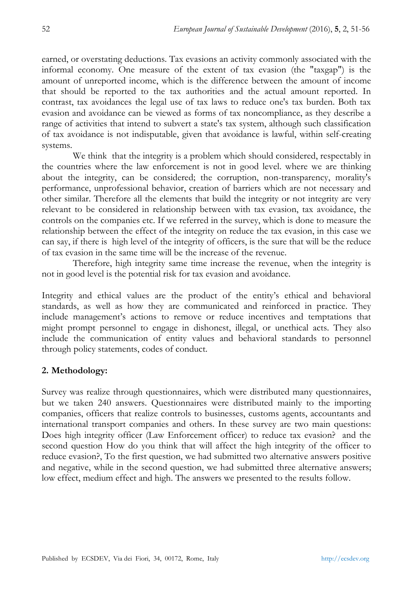earned, or overstating deductions. Tax evasions an activity commonly associated with the informal economy. One measure of the extent of tax evasion (the "taxgap") is the amount of unreported income, which is the difference between the amount of income that should be reported to the tax authorities and the actual amount reported. In contrast, tax avoidances the legal use of tax laws to reduce one's tax burden. Both tax evasion and avoidance can be viewed as forms of tax noncompliance, as they describe a range of activities that intend to subvert a state's tax system, although such classification of tax avoidance is not indisputable, given that avoidance is lawful, within self-creating systems.

We think that the integrity is a problem which should considered, respectably in the countries where the law enforcement is not in good level. where we are thinking about the integrity, can be considered; the corruption, non-transparency, morality's performance, unprofessional behavior, creation of barriers which are not necessary and other similar. Therefore all the elements that build the integrity or not integrity are very relevant to be considered in relationship between with tax evasion, tax avoidance, the controls on the companies etc. If we referred in the survey, which is done to measure the relationship between the effect of the integrity on reduce the tax evasion, in this case we can say, if there is high level of the integrity of officers, is the sure that will be the reduce of tax evasion in the same time will be the increase of the revenue.

Therefore, high integrity same time increase the revenue, when the integrity is not in good level is the potential risk for tax evasion and avoidance.

Integrity and ethical values are the product of the entity's ethical and behavioral standards, as well as how they are communicated and reinforced in practice. They include management's actions to remove or reduce incentives and temptations that might prompt personnel to engage in dishonest, illegal, or unethical acts. They also include the communication of entity values and behavioral standards to personnel through policy statements, codes of conduct.

## **2. Methodology:**

Survey was realize through questionnaires, which were distributed many questionnaires, but we taken 240 answers. Questionnaires were distributed mainly to the importing companies, officers that realize controls to businesses, customs agents, accountants and international transport companies and others. In these survey are two main questions: Does high integrity officer (Law Enforcement officer) to reduce tax evasion? and the second question How do you think that will affect the high integrity of the officer to reduce evasion?, To the first question, we had submitted two alternative answers positive and negative, while in the second question, we had submitted three alternative answers; low effect, medium effect and high. The answers we presented to the results follow.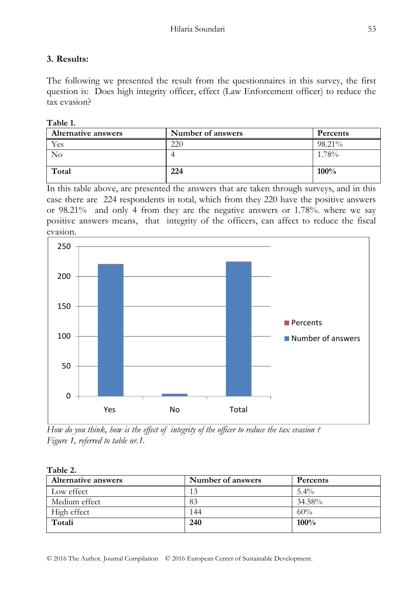## **3. Results:**

The following we presented the result from the questionnaires in this survey, the first question is: Does high integrity officer, effect (Law Enforcement officer) to reduce the tax evasion?

#### **Table 1.**

| <b>Alternative answers</b> | Number of answers | Percents |
|----------------------------|-------------------|----------|
| í es                       | 220               | 98.21%   |
| No                         |                   | 1.78%    |
|                            |                   |          |
| Total                      | 224               | $100\%$  |
|                            |                   |          |

In this table above, are presented the answers that are taken through surveys, and in this case there are 224 respondents in total, which from they 220 have the positive answers or 98.21% and only 4 from they are the negative answers or 1.78%. where we say positive answers means, that integrity of the officers, can affect to reduce the fiscal evasion.



*How do you think, how is the effect of integrity of the officer to reduce the tax evasion ? Figure 1, referred to table nr.1.* 

| Table 2.                   |                   |          |  |
|----------------------------|-------------------|----------|--|
| <b>Alternative answers</b> | Number of answers | Percents |  |
| Low effect                 | 13                | $5.4\%$  |  |
| Medium effect              | 83                | 34.58%   |  |
| High effect                | 144               | 60%      |  |
| Totali                     | 240               | 100%     |  |
|                            |                   |          |  |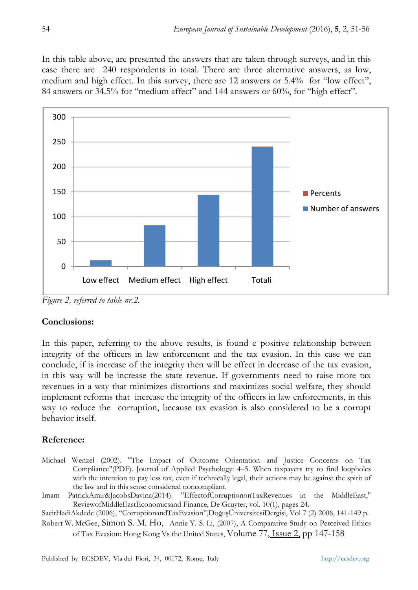In this table above, are presented the answers that are taken through surveys, and in this case there are 240 respondents in total. There are three alternative answers, as low, medium and high effect. In this survey, there are 12 answers or 5.4% for "low effect", 84 answers or 34.5% for "medium affect" and 144 answers or 60%, for "high effect".



*Figure 2, referred to table nr.2.* 

#### **Conclusions:**

In this paper, referring to the above results, is found e positive relationship between integrity of the officers in law enforcement and the tax evasion. In this case we can conclude, if is increase of the integrity then will be effect in decrease of the tax evasion, in this way will be increase the state revenue. If governments need to raise more tax revenues in a way that minimizes distortions and maximizes social welfare, they should implement reforms that increase the integrity of the officers in law enforcements, in this way to reduce the corruption, because tax evasion is also considered to be a corrupt behavior itself.

## **Reference:**

- Michael Wenzel (2002). "The Impact of Outcome Orientation and Justice Concerns on Tax Compliance"(PDF). Journal of Applied Psychology: 4–5. When taxpayers try to find loopholes with the intention to pay less tax, even if technically legal, their actions may be against the spirit of the law and in this sense considered noncompliant.
- Imam PatrickAmir&JacobsDavina(2014). "EffectofCorruptiononTaxRevenues in the MiddleEast," ReviewofMiddleEastEconomicsand Finance, De Gruyter, vol. 10(1), pages 24.

SacitHadiAkdede (2006), "CorruptionandTaxEvasion",DoğuşÜniversitesiDergisi, Vol 7 (2) 2006, 141-149 p.

Robert W. McGee, Simon S. M. Ho, Annie Y. S. Li, (2007), A Comparative Study on Perceived Ethics of Tax Evasion: Hong Kong Vs the United States, Volume 77, Issue 2, pp 147-158